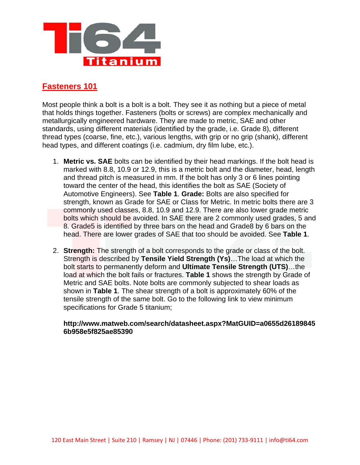

## **Fasteners 101**

Most people think a bolt is a bolt is a bolt. They see it as nothing but a piece of metal that holds things together. Fasteners (bolts or screws) are complex mechanically and metallurgically engineered hardware. They are made to metric, SAE and other standards, using different materials (identified by the grade, i.e. Grade 8), different thread types (coarse, fine, etc.), various lengths, with grip or no grip (shank), different head types, and different coatings (i.e. cadmium, dry film lube, etc.).

- 1. **Metric vs. SAE** bolts can be identified by their head markings. If the bolt head is marked with 8.8, 10.9 or 12.9, this is a metric bolt and the diameter, head, length and thread pitch is measured in mm. If the bolt has only 3 or 6 lines pointing toward the center of the head, this identifies the bolt as SAE (Society of Automotive Engineers). See **Table 1**. **Grade:** Bolts are also specified for strength, known as Grade for SAE or Class for Metric. In metric bolts there are 3 commonly used classes, 8.8, 10.9 and 12.9. There are also lower grade metric bolts which should be avoided. In SAE there are 2 commonly used grades, 5 and 8. Grade5 is identified by three bars on the head and Grade8 by 6 bars on the head. There are lower grades of SAE that too should be avoided. See **Table 1**.
- 2. **Strength:** The strength of a bolt corresponds to the grade or class of the bolt. Strength is described by **Tensile Yield Strength (Ys)**…The load at which the bolt starts to permanently deform and **Ultimate Tensile Strength (UTS)**…the load at which the bolt fails or fractures. **Table 1** shows the strength by Grade of Metric and SAE bolts. Note bolts are commonly subjected to shear loads as shown in **Table 1**. The shear strength of a bolt is approximately 60% of the tensile strength of the same bolt. Go to the following link to view minimum specifications for Grade 5 titanium;

## **[http://www.matweb.com/search/datasheet.aspx?MatGUID=a0655d26189845](http://www.matweb.com/search/datasheet.aspx?MatGUID=a0655d261898456b958e5f825ae85390) [6b958e5f825ae85390](http://www.matweb.com/search/datasheet.aspx?MatGUID=a0655d261898456b958e5f825ae85390)**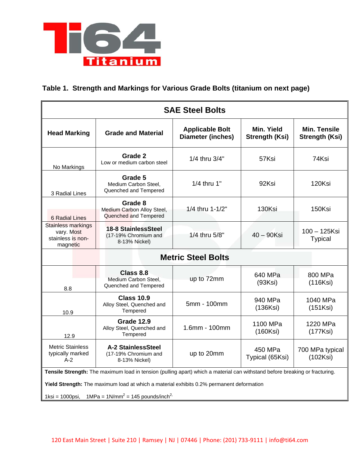

## **Table 1. Strength and Markings for Various Grade Bolts (titanium on next page)**

| <b>SAE Steel Bolts</b>                                                                                                      |                                                                    |                                                    |                                     |                                              |  |  |  |
|-----------------------------------------------------------------------------------------------------------------------------|--------------------------------------------------------------------|----------------------------------------------------|-------------------------------------|----------------------------------------------|--|--|--|
| <b>Head Marking</b>                                                                                                         | <b>Grade and Material</b>                                          | <b>Applicable Bolt</b><br><b>Diameter (inches)</b> | Min. Yield<br><b>Strength (Ksi)</b> | <b>Min. Tensile</b><br><b>Strength (Ksi)</b> |  |  |  |
| No Markings                                                                                                                 | Grade 2<br>Low or medium carbon steel                              | 1/4 thru 3/4"                                      | 57Ksi                               | 74Ksi                                        |  |  |  |
| 3 Radial Lines                                                                                                              | Grade 5<br>Medium Carbon Steel,<br>Quenched and Tempered           | 1/4 thru 1"                                        | 92Ksi                               | 120Ksi                                       |  |  |  |
| 6 Radial Lines                                                                                                              | Grade 8<br>Medium Carbon Alloy Steel,<br>Quenched and Tempered     | 1/4 thru 1-1/2"                                    | 130Ksi                              | 150Ksi                                       |  |  |  |
| Stainless markings<br>vary. Most<br>stainless is non-<br>magnetic                                                           | 18-8 StainlessSteel<br>(17-19% Chromium and<br>8-13% Nickel)       | 1/4 thru 5/8"                                      | $40 - 90$ Ksi                       | 100 - 125Ksi<br><b>Typical</b>               |  |  |  |
| <b>Metric Steel Bolts</b>                                                                                                   |                                                                    |                                                    |                                     |                                              |  |  |  |
| 8.8                                                                                                                         | Class 8.8<br>Medium Carbon Steel,<br>Quenched and Tempered         | up to 72mm                                         | 640 MPa<br>(93Ksi)                  | 800 MPa<br>(116Ksi)                          |  |  |  |
| 10.9                                                                                                                        | <b>Class 10.9</b><br>Alloy Steel, Quenched and<br>Tempered         | 5mm - 100mm                                        | 940 MPa<br>(136Ksi)                 | 1040 MPa<br>(151Ksi)                         |  |  |  |
| 12.9                                                                                                                        | Grade 12.9<br>Alloy Steel, Quenched and<br>Tempered                | 1.6mm - 100mm                                      | 1100 MPa<br>(160Ksi)                | 1220 MPa<br>(177Ksi)                         |  |  |  |
| <b>Metric Stainless</b><br>typically marked<br>$A-2$                                                                        | <b>A-2 StainlessSteel</b><br>(17-19% Chromium and<br>8-13% Nickel) | up to 20mm                                         | 450 MPa<br>Typical (65Ksi)          | 700 MPa typical<br>(102Ksi)                  |  |  |  |
| Tensile Strength: The maximum load in tension (pulling apart) which a material can withstand before breaking or fracturing. |                                                                    |                                                    |                                     |                                              |  |  |  |
| Yield Strength: The maximum load at which a material exhibits 0.2% permanent deformation                                    |                                                                    |                                                    |                                     |                                              |  |  |  |
| 1ksi = 1000psi, 1MPa = 1N/mm <sup>2</sup> = 145 pounds/inch <sup>2,</sup>                                                   |                                                                    |                                                    |                                     |                                              |  |  |  |